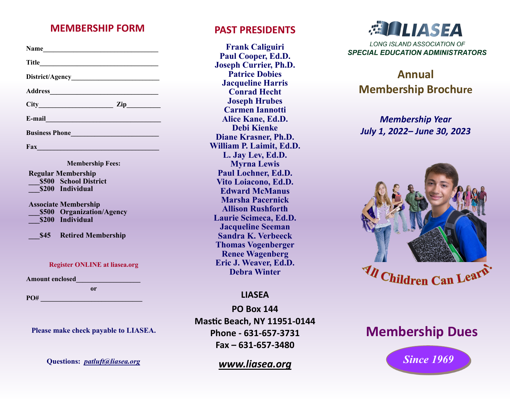#### **MEMBERSHIP FORM PAST PRESIDENTS**

| Name                                                                                                                                                                                                               |  |
|--------------------------------------------------------------------------------------------------------------------------------------------------------------------------------------------------------------------|--|
| Title                                                                                                                                                                                                              |  |
|                                                                                                                                                                                                                    |  |
|                                                                                                                                                                                                                    |  |
| $City$ $Zip$                                                                                                                                                                                                       |  |
| E-mail                                                                                                                                                                                                             |  |
| Business Phone                                                                                                                                                                                                     |  |
| Fax Fax                                                                                                                                                                                                            |  |
| <b>Membership Fees:</b><br><b>Regular Membership</b><br>\$500 School District<br>\$200 Individual<br><b>Associate Membership</b><br>\$500 Organization/Agency<br>\$200 Individual<br><b>S45</b> Retired Membership |  |
| <b>Register ONLINE at liasea.org</b>                                                                                                                                                                               |  |
| <b>Amount enclosed</b>                                                                                                                                                                                             |  |
| 0r                                                                                                                                                                                                                 |  |
| PO#                                                                                                                                                                                                                |  |

**Please make check payable to LIASEA.** 

**Questions:** *[patluft@liasea.org](mailto:patluft@liasea.org)*

**Frank Caliguiri Paul Cooper, Ed.D. Joseph Currier, Ph.D. Patrice Dobies Jacqueline Harris Conrad Hecht Joseph Hrubes Carmen Iannotti Alice Kane, Ed.D. Debi Kienke Diane Krasner, Ph.D. William P. Laimit, Ed.D. L. Jay Lev, Ed.D. Myrna Lewis Paul Lochner, Ed.D. Vito Loiacono, Ed.D. Edward McManus Marsha Pacernick Allison Rushforth Laurie Scimeca, Ed.D. Jacqueline Seeman Sandra K. Verbeeck Thomas Vogenberger Renee Wagenberg Eric J. Weaver, Ed.D. Debra Winter**

#### **LIASEA**

**PO Box 144 Mastic Beach, NY 11951-0144 Phone - 631-657-3731 Fax – 631-657-3480**

#### *www.liasea.org*



# **Annual Membership Brochure**

### *Membership Year July 1, 2022– June 30, 2023*



# **Membership Dues**

*Since 1969*